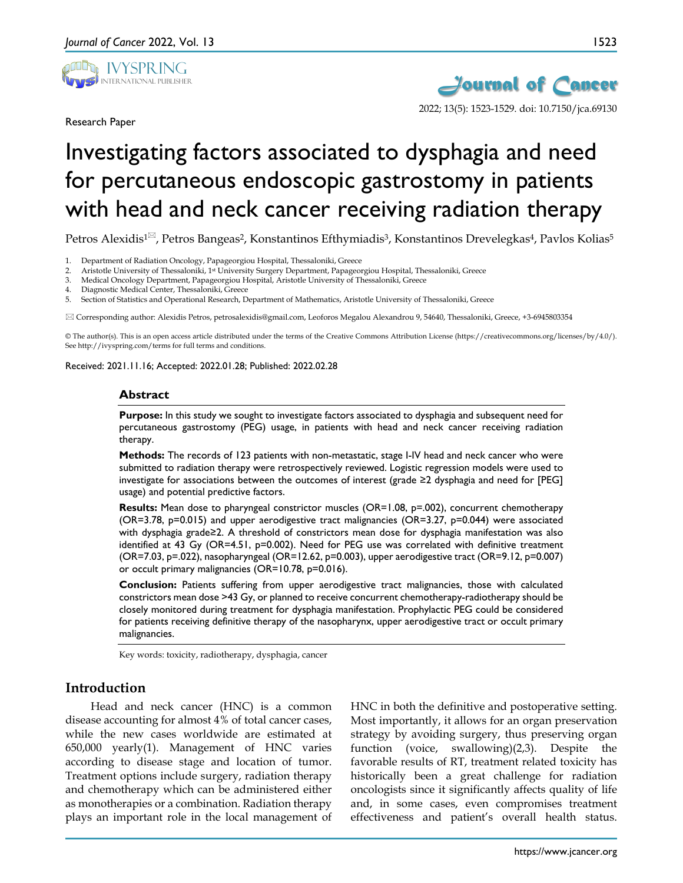

Research Paper



# Investigating factors associated to dysphagia and need for percutaneous endoscopic gastrostomy in patients with head and neck cancer receiving radiation therapy

Petros Alexidis<sup>1 $\approx$ </sup>, Petros Bangeas<sup>2</sup>, Konstantinos Efthymiadis<sup>3</sup>, Konstantinos Drevelegkas<sup>4</sup>, Pavlos Kolias<sup>5</sup>

1. Department of Radiation Oncology, Papageorgiou Hospital, Thessaloniki, Greece

- 2. Aristotle University of Thessaloniki, 1st University Surgery Department, Papageorgiou Hospital, Thessaloniki, Greece
- 3. Medical Oncology Department, Papageorgiou Hospital, Aristotle University of Thessaloniki, Greece
- 4. Diagnostic Medical Center, Thessaloniki, Greece

5. Section of Statistics and Operational Research, Department of Mathematics, Aristotle University of Thessaloniki, Greece

Corresponding author: Alexidis Petros, petrosalexidis@gmail.com, Leoforos Megalou Alexandrou 9, 54640, Thessaloniki, Greece, +3-6945803354

© The author(s). This is an open access article distributed under the terms of the Creative Commons Attribution License (https://creativecommons.org/licenses/by/4.0/). See http://ivyspring.com/terms for full terms and conditions.

Received: 2021.11.16; Accepted: 2022.01.28; Published: 2022.02.28

#### **Abstract**

**Purpose:** In this study we sought to investigate factors associated to dysphagia and subsequent need for percutaneous gastrostomy (PEG) usage, in patients with head and neck cancer receiving radiation therapy.

**Methods:** The records of 123 patients with non-metastatic, stage I-IV head and neck cancer who were submitted to radiation therapy were retrospectively reviewed. Logistic regression models were used to investigate for associations between the outcomes of interest (grade ≥2 dysphagia and need for [PEG] usage) and potential predictive factors.

**Results:** Mean dose to pharyngeal constrictor muscles (OR=1.08, p=.002), concurrent chemotherapy (OR=3.78, p=0.015) and upper aerodigestive tract malignancies (OR=3.27, p=0.044) were associated with dysphagia grade≥2. A threshold of constrictors mean dose for dysphagia manifestation was also identified at 43 Gy (OR=4.51, p=0.002). Need for PEG use was correlated with definitive treatment (OR=7.03, p=.022), nasopharyngeal (OR=12.62, p=0.003), upper aerodigestive tract (OR=9.12, p=0.007) or occult primary malignancies (OR=10.78, p=0.016).

**Conclusion:** Patients suffering from upper aerodigestive tract malignancies, those with calculated constrictors mean dose >43 Gy, or planned to receive concurrent chemotherapy-radiotherapy should be closely monitored during treatment for dysphagia manifestation. Prophylactic PEG could be considered for patients receiving definitive therapy of the nasopharynx, upper aerodigestive tract or occult primary malignancies.

Key words: toxicity, radiotherapy, dysphagia, cancer

## **Introduction**

Head and neck cancer (HNC) is a common disease accounting for almost 4% of total cancer cases, while the new cases worldwide are estimated at 650,000 yearly(1). Management of HNC varies according to disease stage and location of tumor. Treatment options include surgery, radiation therapy and chemotherapy which can be administered either as monotherapies or a combination. Radiation therapy plays an important role in the local management of

HNC in both the definitive and postoperative setting. Most importantly, it allows for an organ preservation strategy by avoiding surgery, thus preserving organ function (voice, swallowing)(2,3). Despite the favorable results of RT, treatment related toxicity has historically been a great challenge for radiation oncologists since it significantly affects quality of life and, in some cases, even compromises treatment effectiveness and patient's overall health status.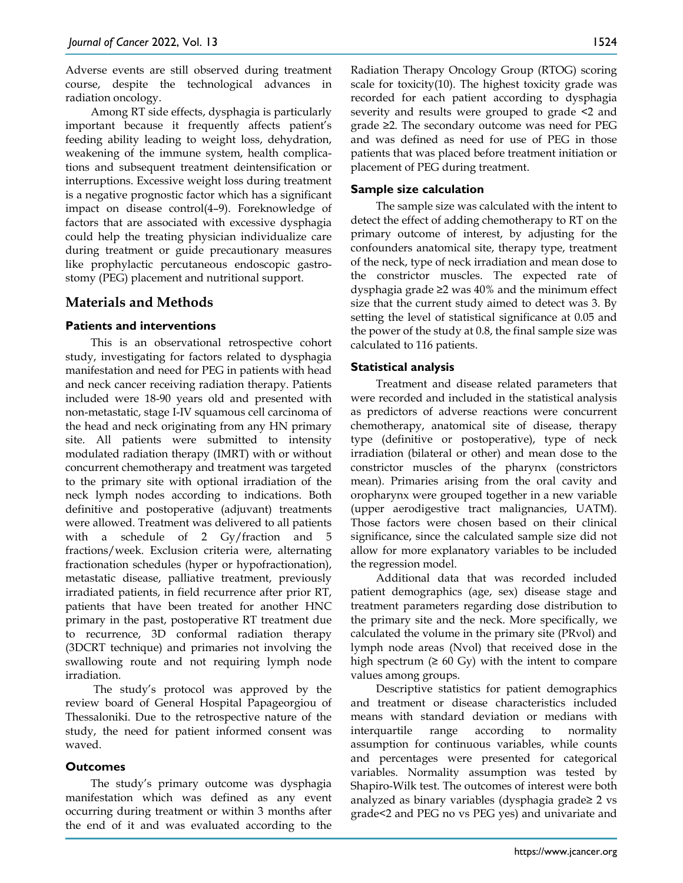Adverse events are still observed during treatment course, despite the technological advances in radiation oncology.

Among RT side effects, dysphagia is particularly important because it frequently affects patient's feeding ability leading to weight loss, dehydration, weakening of the immune system, health complications and subsequent treatment deintensification or interruptions. Excessive weight loss during treatment is a negative prognostic factor which has a significant impact on disease control(4–9). Foreknowledge of factors that are associated with excessive dysphagia could help the treating physician individualize care during treatment or guide precautionary measures like prophylactic percutaneous endoscopic gastrostomy (PEG) placement and nutritional support.

## **Materials and Methods**

#### **Patients and interventions**

This is an observational retrospective cohort study, investigating for factors related to dysphagia manifestation and need for PEG in patients with head and neck cancer receiving radiation therapy. Patients included were 18-90 years old and presented with non-metastatic, stage I-IV squamous cell carcinoma of the head and neck originating from any HN primary site. All patients were submitted to intensity modulated radiation therapy (IMRT) with or without concurrent chemotherapy and treatment was targeted to the primary site with optional irradiation of the neck lymph nodes according to indications. Both definitive and postoperative (adjuvant) treatments were allowed. Treatment was delivered to all patients with a schedule of 2 Gy/fraction and 5 fractions/week. Exclusion criteria were, alternating fractionation schedules (hyper or hypofractionation), metastatic disease, palliative treatment, previously irradiated patients, in field recurrence after prior RT, patients that have been treated for another HNC primary in the past, postoperative RT treatment due to recurrence, 3D conformal radiation therapy (3DCRT technique) and primaries not involving the swallowing route and not requiring lymph node irradiation.

The study's protocol was approved by the review board of General Hospital Papageorgiou of Thessaloniki. Due to the retrospective nature of the study, the need for patient informed consent was waved.

#### **Outcomes**

The study's primary outcome was dysphagia manifestation which was defined as any event occurring during treatment or within 3 months after the end of it and was evaluated according to the Radiation Therapy Oncology Group (RTOG) scoring scale for toxicity(10). The highest toxicity grade was recorded for each patient according to dysphagia severity and results were grouped to grade <2 and grade ≥2. The secondary outcome was need for PEG and was defined as need for use of PEG in those patients that was placed before treatment initiation or placement of PEG during treatment.

#### **Sample size calculation**

The sample size was calculated with the intent to detect the effect of adding chemotherapy to RT on the primary outcome of interest, by adjusting for the confounders anatomical site, therapy type, treatment of the neck, type of neck irradiation and mean dose to the constrictor muscles. The expected rate of dysphagia grade ≥2 was 40% and the minimum effect size that the current study aimed to detect was 3. By setting the level of statistical significance at 0.05 and the power of the study at 0.8, the final sample size was calculated to 116 patients.

#### **Statistical analysis**

Treatment and disease related parameters that were recorded and included in the statistical analysis as predictors of adverse reactions were concurrent chemotherapy, anatomical site of disease, therapy type (definitive or postoperative), type of neck irradiation (bilateral or other) and mean dose to the constrictor muscles of the pharynx (constrictors mean). Primaries arising from the oral cavity and oropharynx were grouped together in a new variable (upper aerodigestive tract malignancies, UATM). Those factors were chosen based on their clinical significance, since the calculated sample size did not allow for more explanatory variables to be included the regression model.

Additional data that was recorded included patient demographics (age, sex) disease stage and treatment parameters regarding dose distribution to the primary site and the neck. More specifically, we calculated the volume in the primary site (PRvol) and lymph node areas (Nvol) that received dose in the high spectrum ( $\geq 60$  Gy) with the intent to compare values among groups.

Descriptive statistics for patient demographics and treatment or disease characteristics included means with standard deviation or medians with interquartile range according to normality assumption for continuous variables, while counts and percentages were presented for categorical variables. Normality assumption was tested by Shapiro-Wilk test. The outcomes of interest were both analyzed as binary variables (dysphagia grade≥ 2 vs grade<2 and PEG no vs PEG yes) and univariate and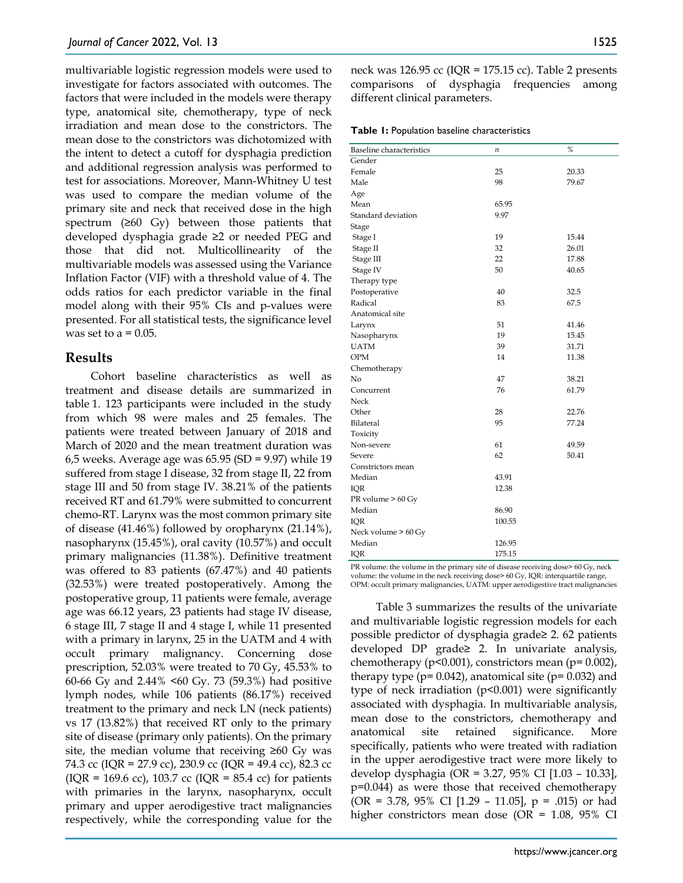multivariable logistic regression models were used to investigate for factors associated with outcomes. The factors that were included in the models were therapy type, anatomical site, chemotherapy, type of neck irradiation and mean dose to the constrictors. The mean dose to the constrictors was dichotomized with the intent to detect a cutoff for dysphagia prediction and additional regression analysis was performed to test for associations. Moreover, Mann-Whitney U test was used to compare the median volume of the primary site and neck that received dose in the high spectrum  $(≥60 \text{ Gy})$  between those patients that developed dysphagia grade ≥2 or needed PEG and those that did not. Multicollinearity of the multivariable models was assessed using the Variance Inflation Factor (VIF) with a threshold value of 4. The odds ratios for each predictor variable in the final model along with their 95% CIs and p-values were presented. For all statistical tests, the significance level was set to  $a = 0.05$ .

#### **Results**

Cohort baseline characteristics as well as treatment and disease details are summarized in table 1. 123 participants were included in the study from which 98 were males and 25 females. The patients were treated between January of 2018 and March of 2020 and the mean treatment duration was 6,5 weeks. Average age was 65.95 (SD = 9.97) while 19 suffered from stage I disease, 32 from stage II, 22 from stage III and 50 from stage IV. 38.21% of the patients received RT and 61.79% were submitted to concurrent chemo-RT. Larynx was the most common primary site of disease (41.46%) followed by oropharynx (21.14%), nasopharynx (15.45%), oral cavity (10.57%) and occult primary malignancies (11.38%). Definitive treatment was offered to 83 patients (67.47%) and 40 patients (32.53%) were treated postoperatively. Among the postoperative group, 11 patients were female, average age was 66.12 years, 23 patients had stage IV disease, 6 stage III, 7 stage II and 4 stage I, while 11 presented with a primary in larynx, 25 in the UATM and 4 with occult primary malignancy. Concerning dose prescription, 52.03% were treated to 70 Gy, 45.53% to 60-66 Gy and 2.44% <60 Gy. 73 (59.3%) had positive lymph nodes, while 106 patients (86.17%) received treatment to the primary and neck LN (neck patients) vs 17 (13.82%) that received RT only to the primary site of disease (primary only patients). On the primary site, the median volume that receiving  $\geq 60$  Gy was 74.3 cc (IQR = 27.9 cc), 230.9 cc (IQR = 49.4 cc), 82.3 cc  $(IQR = 169.6 \text{ cc})$ , 103.7 cc  $(IQR = 85.4 \text{ cc})$  for patients with primaries in the larynx, nasopharynx, occult primary and upper aerodigestive tract malignancies respectively, while the corresponding value for the

neck was  $126.95$  cc (IQR =  $175.15$  cc). Table 2 presents comparisons of dysphagia frequencies among different clinical parameters.

**Table 1:** Population baseline characteristics

| <b>Baseline</b> characteristics | n        | %     |
|---------------------------------|----------|-------|
| Gender                          |          |       |
| Female                          | 25       | 20.33 |
| Male                            | 98       | 79.67 |
|                                 |          |       |
| Age<br>Mean                     | 65.95    |       |
| Standard deviation              | 9.97     |       |
| Stage                           |          |       |
| Stage I                         | 19       | 15.44 |
| Stage II                        | 32       | 26.01 |
|                                 | 22       | 17.88 |
| Stage III<br>Stage IV           | 50       | 40.65 |
|                                 |          |       |
| Therapy type<br>Postoperative   | 40       | 32.5  |
| Radical                         | 83       | 67.5  |
| Anatomical site                 |          |       |
| Larynx                          | 51       | 41.46 |
| Nasopharynx                     | 19       | 15.45 |
| <b>UATM</b>                     | 39       | 31.71 |
| <b>OPM</b>                      | 14       | 11.38 |
|                                 |          |       |
| Chemotherapy<br>No              | 47       | 38.21 |
| Concurrent                      | 76       | 61.79 |
| Neck                            |          |       |
| Other                           | 28       | 22.76 |
|                                 | 95       | 77.24 |
| Bilateral                       |          |       |
| Toxicity                        |          |       |
| Non-severe                      | 61<br>62 | 49.59 |
| Severe                          |          | 50.41 |
| Constrictors mean               |          |       |
| Median                          | 43.91    |       |
| IQR                             | 12.38    |       |
| PR volume > 60 Gy               |          |       |
| Median                          | 86.90    |       |
| IQR                             | 100.55   |       |
| Neck volume > 60 Gy             |          |       |
| Median                          | 126.95   |       |
| IQR                             | 175.15   |       |

PR volume: the volume in the primary site of disease receiving dose> 60 Gy, neck volume: the volume in the neck receiving dose> 60 Gy, IQR: interquartile range, OPM: occult primary malignancies, UATM: upper aerodigestive tract malignancies

Table 3 summarizes the results of the univariate and multivariable logistic regression models for each possible predictor of dysphagia grade≥ 2. 62 patients developed DP grade≥ 2. In univariate analysis, chemotherapy ( $p<0.001$ ), constrictors mean ( $p=0.002$ ), therapy type ( $p= 0.042$ ), anatomical site ( $p= 0.032$ ) and type of neck irradiation (p<0.001) were significantly associated with dysphagia. In multivariable analysis, mean dose to the constrictors, chemotherapy and anatomical site retained significance. More specifically, patients who were treated with radiation in the upper aerodigestive tract were more likely to develop dysphagia (OR = 3.27, 95% CI [1.03 – 10.33], p=0.044) as were those that received chemotherapy (OR = 3.78, 95% CI [1.29 - 11.05],  $p = .015$ ) or had higher constrictors mean dose (OR = 1.08, 95% CI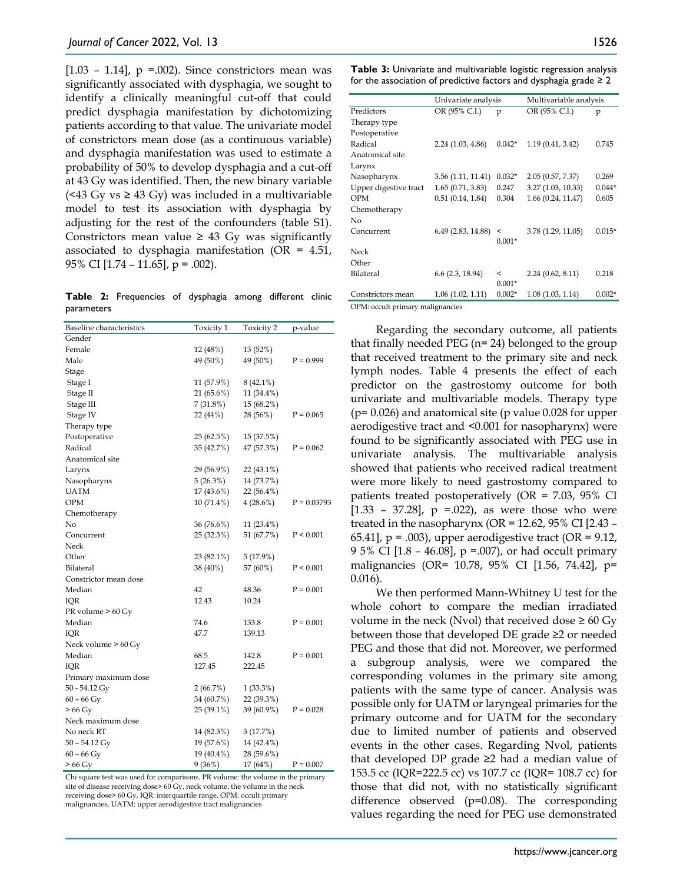[ $1.03 - 1.14$ ],  $p = .002$ ). Since constrictors mean was significantly associated with dysphagia, we sought to identify a clinically meaningful cut-off that could predict dysphagia manifestation by dichotomizing patients according to that value. The univariate model of constrictors mean dose (as a continuous variable) and dysphagia manifestation was used to estimate a probability of 50% to develop dysphagia and a cut-off at 43 Gy was identified. Then, the new binary variable  $($  <43 G<sub>y</sub> vs  $\geq$  43 G<sub>y</sub>) was included in a multivariable model to test its association with dysphagia by adjusting for the rest of the confounders (table S1). Constrictors mean value  $\geq$  43 Gy was significantly associated to dysphagia manifestation (OR = 4.51, 95% CI [1.74 – 11.65], p = .002).

**Table 2:** Frequencies of dysphagia among different clinic parameters

| <b>Baseline</b> characteristics | Toxicity 1   | Toxicity 2  | p-value       |
|---------------------------------|--------------|-------------|---------------|
| Gender                          |              |             |               |
| Female                          | 12 (48%)     | 13 (52%)    |               |
| Male                            | 49 (50%)     | 49 (50%)    | $P = 0.999$   |
| Stage                           |              |             |               |
| Stage I                         | 11 (57.9%)   | $8(42.1\%)$ |               |
| Stage II                        | 21 (65.6%)   | 11 (34.4%)  |               |
| Stage III                       | 7 (31.8%)    | 15 (68.2%)  |               |
| Stage IV                        | 22 (44%)     | 28 (56%)    | $P = 0.065$   |
| Therapy type                    |              |             |               |
| Postoperative                   | 25 (62.5%)   | 15 (37.5%)  |               |
| Radical                         | 35 (42.7%)   | 47 (57.3%)  | $P = 0.062$   |
| Anatomical site                 |              |             |               |
| Larynx                          | 29 (56.9%)   | 22 (43.1%)  |               |
| Nasopharynx                     | 5(26.3%)     | 14 (73.7%)  |               |
| <b>UATM</b>                     | 17 (43.6%)   | 22 (56.4%)  |               |
| OPM                             | $10(71.4\%)$ | $4(28.6\%)$ | $P = 0.03793$ |
| Chemotherapy                    |              |             |               |
| No                              | 36 (76.6%)   | 11 (23.4%)  |               |
| Concurrent                      | 25 (32.3%)   | 51 (67.7%)  | P < 0.001     |
| Neck                            |              |             |               |
| Other                           | 23 (82.1%)   | 5(17.9%)    |               |
| Bilateral                       | 38 (40%)     | 57 (60%)    | P < 0.001     |
| Constrictor mean dose           |              |             |               |
| Median                          | 42           | 48.36       | $P = 0.001$   |
| IQR                             | 12.43        | 10.24       |               |
| PR volume $> 60$ Gy             |              |             |               |
| Median                          | 74.6         | 133.8       | $P = 0.001$   |
| IQR                             | 47.7         | 139.13      |               |
| Neck volume > 60 Gy             |              |             |               |
| Median                          | 68.5         | 142.8       | $P = 0.001$   |
| IQR                             | 127.45       | 222.45      |               |
| Primary maximum dose            |              |             |               |
| 50 - 54.12 Gy                   | 2(66.7%)     | 1(33.3%)    |               |
| $60 - 66$ Gy                    | 34 (60.7%)   | 22 (39.3%)  |               |
| $>66$ Gy                        | 25 (39.1%)   | 39 (60.9%)  | $P = 0.028$   |
| Neck maximum dose               |              |             |               |
| No neck RT                      | 14 (82.3%)   | 3 (17.7%)   |               |
| $50 - 54.12$ Gy                 | 19 (57.6%)   | 14 (42.4%)  |               |
| $60 - 66$ Gy                    | 19 (40.4%)   | 28 (59.6%)  |               |
| $>66$ Gy                        | 9(36%)       | 17 (64%)    | $P = 0.007$   |

Chi square test was used for comparisons. PR volume: the volume in the primary site of disease receiving dose> 60 Gy, neck volume: the volume in the neck receiving dose> 60 Gy, IQR: interquartile range, OPM: occult primary malignancies, UATM: upper aerodigestive tract malignancies

**Table 3:** Univariate and multivariable logistic regression analysis for the association of predictive factors and dysphagia grade  $\geq 2$ 

|                                  | Univariate analysis |          | Multivariable analysis |          |
|----------------------------------|---------------------|----------|------------------------|----------|
| Predictors                       | OR (95% C.I.)       | p        | OR (95% C.I.)          | p        |
| Therapy type                     |                     |          |                        |          |
| Postoperative                    |                     |          |                        |          |
| Radical                          | 2.24(1.03, 4.86)    | $0.042*$ | 1.19 (0.41, 3.42)      | 0.745    |
| Anatomical site                  |                     |          |                        |          |
| Larynx                           |                     |          |                        |          |
| Nasopharynx                      | 3.56 (1.11, 11.41)  | $0.032*$ | 2.05 (0.57, 7.37)      | 0.269    |
| Upper digestive tract            | 1.65(0.71, 3.83)    | 0.247    | 3.27 (1.03, 10.33)     | $0.044*$ |
| <b>OPM</b>                       | 0.51(0.14, 1.84)    | 0.304    | 1.66(0.24, 11.47)      | 0.605    |
| Chemotherapy                     |                     |          |                        |          |
| No                               |                     |          |                        |          |
| Concurrent                       | 6.49 (2.83, 14.88)  | $\,<\,$  | 3.78 (1.29, 11.05)     | $0.015*$ |
|                                  |                     | $0.001*$ |                        |          |
| Neck                             |                     |          |                        |          |
| Other                            |                     |          |                        |          |
| Bilateral                        | $6.6$ (2.3, 18.94)  | $\,<\,$  | 2.24(0.62, 8.11)       | 0.218    |
|                                  |                     | $0.001*$ |                        |          |
| Constrictors mean                | 1.06(1.02, 1.11)    | $0.002*$ | 1.08(1.03, 1.14)       | $0.002*$ |
| OPM: occult primary malignancies |                     |          |                        |          |

OPM: occult primary malignancies

Regarding the secondary outcome, all patients that finally needed PEG (n= 24) belonged to the group that received treatment to the primary site and neck lymph nodes. Table 4 presents the effect of each predictor on the gastrostomy outcome for both univariate and multivariable models. Therapy type  $(p= 0.026)$  and anatomical site (p value 0.028 for upper aerodigestive tract and <0.001 for nasopharynx) were found to be significantly associated with PEG use in univariate analysis. The multivariable analysis showed that patients who received radical treatment were more likely to need gastrostomy compared to patients treated postoperatively (OR = 7.03, 95% CI  $[1.33 - 37.28]$ , p =.022), as were those who were treated in the nasopharynx (OR = 12.62, 95% CI [2.43 – 65.41],  $p = .003$ , upper aerodigestive tract (OR = 9.12, 9 5% CI  $[1.8 - 46.08]$ , p =.007), or had occult primary malignancies (OR= 10.78, 95% CI [1.56, 74.42], p= 0.016).

We then performed Mann-Whitney U test for the whole cohort to compare the median irradiated volume in the neck (Nvol) that received dose  $\geq 60 \text{ Gy}$ between those that developed DE grade ≥2 or needed PEG and those that did not. Moreover, we performed a subgroup analysis, were we compared the corresponding volumes in the primary site among patients with the same type of cancer. Analysis was possible only for UATM or laryngeal primaries for the primary outcome and for UATM for the secondary due to limited number of patients and observed events in the other cases. Regarding Nvol, patients that developed DP grade ≥2 had a median value of 153.5 cc (IQR=222.5 cc) vs 107.7 cc (IQR= 108.7 cc) for those that did not, with no statistically significant difference observed (p=0.08). The corresponding values regarding the need for PEG use demonstrated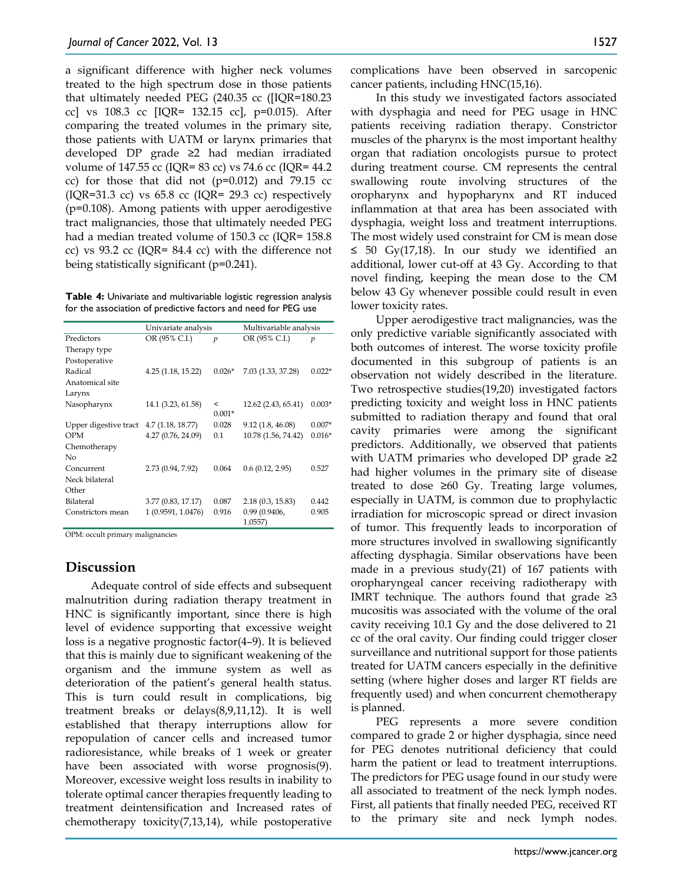a significant difference with higher neck volumes treated to the high spectrum dose in those patients that ultimately needed PEG (240.35 cc ([IQR=180.23 cc] vs 108.3 cc [IQR= 132.15 cc], p=0.015). After comparing the treated volumes in the primary site, those patients with UATM or larynx primaries that developed DP grade ≥2 had median irradiated volume of 147.55 cc (IQR= 83 cc) vs 74.6 cc (IQR= 44.2 cc) for those that did not  $(p=0.012)$  and 79.15 cc (IQR=31.3 cc) vs  $65.8$  cc (IQR= 29.3 cc) respectively (p=0.108). Among patients with upper aerodigestive tract malignancies, those that ultimately needed PEG had a median treated volume of 150.3 cc (IQR= 158.8) cc) vs 93.2 cc (IQR= 84.4 cc) with the difference not being statistically significant (p=0.241).

**Table 4:** Univariate and multivariable logistic regression analysis for the association of predictive factors and need for PEG use

|                       | Univariate analysis |                | Multivariable analysis     |                |
|-----------------------|---------------------|----------------|----------------------------|----------------|
| Predictors            | OR (95% C.I.)       | $\mathfrak p$  | OR (95% C.I.)              | $\mathfrak{p}$ |
| Therapy type          |                     |                |                            |                |
| Postoperative         |                     |                |                            |                |
| Radical               | 4.25 (1.18, 15.22)  | $0.026*$       | 7.03 (1.33, 37.28)         | $0.022*$       |
| Anatomical site       |                     |                |                            |                |
| Larynx                |                     |                |                            |                |
| Nasopharynx           | 14.1 (3.23, 61.58)  | $\overline{a}$ | 12.62 (2.43, 65.41)        | $0.003*$       |
|                       |                     | $0.001*$       |                            |                |
| Upper digestive tract | 4.7(1.18, 18.77)    | 0.028          | 9.12(1.8, 46.08)           | $0.007*$       |
| OPM                   | 4.27 (0.76, 24.09)  | 0.1            | 10.78 (1.56, 74.42)        | $0.016*$       |
| Chemotherapy          |                     |                |                            |                |
| No                    |                     |                |                            |                |
| Concurrent            | 2.73 (0.94, 7.92)   | 0.064          | 0.6(0.12, 2.95)            | 0.527          |
| Neck bilateral        |                     |                |                            |                |
| Other                 |                     |                |                            |                |
| Bilateral             | 3.77 (0.83, 17.17)  | 0.087          | 2.18(0.3, 15.83)           | 0.442          |
| Constrictors mean     | 1 (0.9591, 1.0476)  | 0.916          | 0.99(0.9406,<br>$1.0557$ ) | 0.905          |

OPM: occult primary malignancies

## **Discussion**

Adequate control of side effects and subsequent malnutrition during radiation therapy treatment in HNC is significantly important, since there is high level of evidence supporting that excessive weight loss is a negative prognostic factor(4–9). It is believed that this is mainly due to significant weakening of the organism and the immune system as well as deterioration of the patient's general health status. This is turn could result in complications, big treatment breaks or delays(8,9,11,12). It is well established that therapy interruptions allow for repopulation of cancer cells and increased tumor radioresistance, while breaks of 1 week or greater have been associated with worse prognosis(9). Moreover, excessive weight loss results in inability to tolerate optimal cancer therapies frequently leading to treatment deintensification and Increased rates of chemotherapy toxicity(7,13,14), while postoperative

complications have been observed in sarcopenic cancer patients, including HNC(15,16).

In this study we investigated factors associated with dysphagia and need for PEG usage in HNC patients receiving radiation therapy. Constrictor muscles of the pharynx is the most important healthy organ that radiation oncologists pursue to protect during treatment course. CM represents the central swallowing route involving structures of the oropharynx and hypopharynx and RT induced inflammation at that area has been associated with dysphagia, weight loss and treatment interruptions. The most widely used constraint for CM is mean dose ≤ 50 Gy(17,18). In our study we identified an additional, lower cut-off at 43 Gy. According to that novel finding, keeping the mean dose to the CM below 43 Gy whenever possible could result in even lower toxicity rates.

Upper aerodigestive tract malignancies, was the only predictive variable significantly associated with both outcomes of interest. The worse toxicity profile documented in this subgroup of patients is an observation not widely described in the literature. Two retrospective studies(19,20) investigated factors predicting toxicity and weight loss in HNC patients submitted to radiation therapy and found that oral cavity primaries were among the significant predictors. Additionally, we observed that patients with UATM primaries who developed DP grade ≥2 had higher volumes in the primary site of disease treated to dose ≥60 Gy. Treating large volumes, especially in UATM, is common due to prophylactic irradiation for microscopic spread or direct invasion of tumor. This frequently leads to incorporation of more structures involved in swallowing significantly affecting dysphagia. Similar observations have been made in a previous study(21) of 167 patients with oropharyngeal cancer receiving radiotherapy with IMRT technique. The authors found that grade  $\geq 3$ mucositis was associated with the volume of the oral cavity receiving 10.1 Gy and the dose delivered to 21 cc of the oral cavity. Our finding could trigger closer surveillance and nutritional support for those patients treated for UATM cancers especially in the definitive setting (where higher doses and larger RT fields are frequently used) and when concurrent chemotherapy is planned.

PEG represents a more severe condition compared to grade 2 or higher dysphagia, since need for PEG denotes nutritional deficiency that could harm the patient or lead to treatment interruptions. The predictors for PEG usage found in our study were all associated to treatment of the neck lymph nodes. First, all patients that finally needed PEG, received RT to the primary site and neck lymph nodes.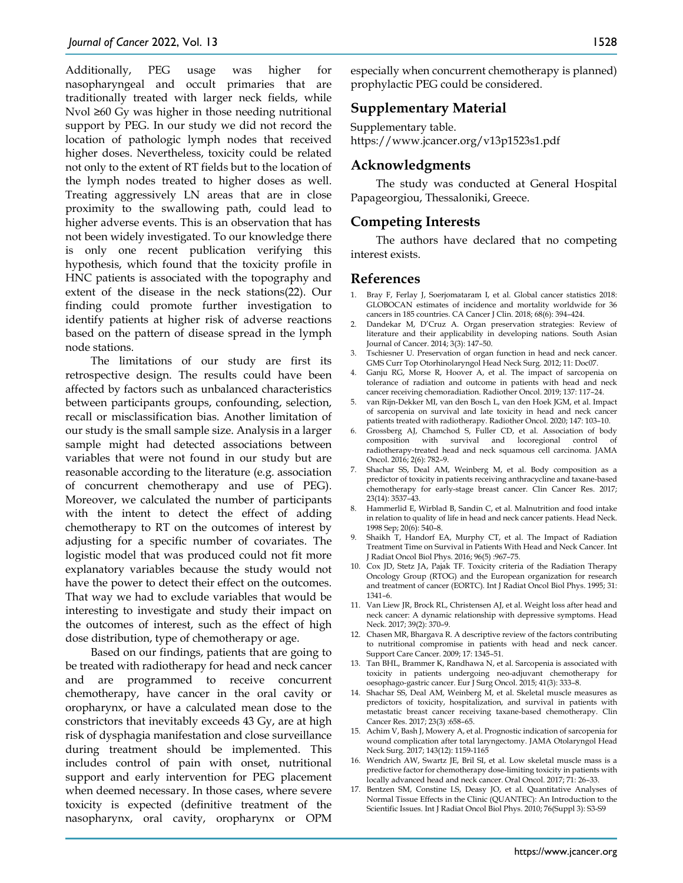Additionally, PEG usage was higher for nasopharyngeal and occult primaries that are traditionally treated with larger neck fields, while Nvol ≥60 Gy was higher in those needing nutritional support by PEG. In our study we did not record the location of pathologic lymph nodes that received higher doses. Nevertheless, toxicity could be related not only to the extent of RT fields but to the location of the lymph nodes treated to higher doses as well. Treating aggressively LN areas that are in close proximity to the swallowing path, could lead to higher adverse events. This is an observation that has not been widely investigated. To our knowledge there is only one recent publication verifying this hypothesis, which found that the toxicity profile in HNC patients is associated with the topography and extent of the disease in the neck stations(22). Our finding could promote further investigation to identify patients at higher risk of adverse reactions based on the pattern of disease spread in the lymph node stations.

The limitations of our study are first its retrospective design. The results could have been affected by factors such as unbalanced characteristics between participants groups, confounding, selection, recall or misclassification bias. Another limitation of our study is the small sample size. Analysis in a larger sample might had detected associations between variables that were not found in our study but are reasonable according to the literature (e.g. association of concurrent chemotherapy and use of PEG). Moreover, we calculated the number of participants with the intent to detect the effect of adding chemotherapy to RT on the outcomes of interest by adjusting for a specific number of covariates. The logistic model that was produced could not fit more explanatory variables because the study would not have the power to detect their effect on the outcomes. That way we had to exclude variables that would be interesting to investigate and study their impact on the outcomes of interest, such as the effect of high dose distribution, type of chemotherapy or age.

Based on our findings, patients that are going to be treated with radiotherapy for head and neck cancer and are programmed to receive concurrent chemotherapy, have cancer in the oral cavity or oropharynx, or have a calculated mean dose to the constrictors that inevitably exceeds 43 Gy, are at high risk of dysphagia manifestation and close surveillance during treatment should be implemented. This includes control of pain with onset, nutritional support and early intervention for PEG placement when deemed necessary. In those cases, where severe toxicity is expected (definitive treatment of the nasopharynx, oral cavity, oropharynx or OPM

especially when concurrent chemotherapy is planned) prophylactic PEG could be considered.

## **Supplementary Material**

Supplementary table. https://www.jcancer.org/v13p1523s1.pdf

#### **Acknowledgments**

The study was conducted at General Hospital Papageorgiou, Thessaloniki, Greece.

#### **Competing Interests**

The authors have declared that no competing interest exists.

#### **References**

- 1. Bray F, Ferlay J, Soerjomataram I, et al. Global cancer statistics 2018: GLOBOCAN estimates of incidence and mortality worldwide for 36 cancers in 185 countries. CA Cancer J Clin. 2018; 68(6): 394–424.
- 2. Dandekar M, D'Cruz A. Organ preservation strategies: Review of literature and their applicability in developing nations. South Asian Journal of Cancer. 2014; 3(3): 147–50.
- 3. Tschiesner U. Preservation of organ function in head and neck cancer. GMS Curr Top Otorhinolaryngol Head Neck Surg. 2012; 11: Doc07.
- 4. Ganju RG, Morse R, Hoover A, et al. The impact of sarcopenia on tolerance of radiation and outcome in patients with head and neck cancer receiving chemoradiation. Radiother Oncol. 2019; 137: 117–24.
- 5. van Rijn-Dekker MI, van den Bosch L, van den Hoek JGM, et al. Impact of sarcopenia on survival and late toxicity in head and neck cancer patients treated with radiotherapy. Radiother Oncol. 2020; 147: 103–10.
- 6. Grossberg AJ, Chamchod S, Fuller CD, et al. Association of body composition with survival and locoregional control of radiotherapy-treated head and neck squamous cell carcinoma. JAMA Oncol. 2016; 2(6): 782–9.
- 7. Shachar SS, Deal AM, Weinberg M, et al. Body composition as a predictor of toxicity in patients receiving anthracycline and taxane-based chemotherapy for early-stage breast cancer. Clin Cancer Res. 2017; 23(14): 3537–43.
- 8. Hammerlid E, Wirblad B, Sandin C, et al. Malnutrition and food intake in relation to quality of life in head and neck cancer patients. Head Neck. 1998 Sep; 20(6): 540–8.
- 9. Shaikh T, Handorf EA, Murphy CT, et al. The Impact of Radiation Treatment Time on Survival in Patients With Head and Neck Cancer. Int J Radiat Oncol Biol Phys. 2016; 96(5) :967–75.
- 10. Cox JD, Stetz JA, Pajak TF. Toxicity criteria of the Radiation Therapy Oncology Group (RTOG) and the European organization for research and treatment of cancer (EORTC). Int J Radiat Oncol Biol Phys. 1995; 31: 1341–6.
- 11. Van Liew JR, Brock RL, Christensen AJ, et al. Weight loss after head and neck cancer: A dynamic relationship with depressive symptoms. Head Neck. 2017; 39(2): 370–9.
- 12. Chasen MR, Bhargava R. A descriptive review of the factors contributing to nutritional compromise in patients with head and neck cancer. Support Care Cancer. 2009; 17: 1345–51.
- 13. Tan BHL, Brammer K, Randhawa N, et al. Sarcopenia is associated with toxicity in patients undergoing neo-adjuvant chemotherapy for oesophago-gastric cancer. Eur J Surg Oncol. 2015; 41(3): 333–8.
- 14. Shachar SS, Deal AM, Weinberg M, et al. Skeletal muscle measures as predictors of toxicity, hospitalization, and survival in patients with metastatic breast cancer receiving taxane-based chemotherapy. Clin Cancer Res. 2017; 23(3) :658–65.
- 15. Achim V, Bash J, Mowery A, et al. Prognostic indication of sarcopenia for wound complication after total laryngectomy. JAMA Otolaryngol Head Neck Surg. 2017; 143(12): 1159-1165
- 16. Wendrich AW, Swartz JE, Bril SI, et al. Low skeletal muscle mass is a predictive factor for chemotherapy dose-limiting toxicity in patients with locally advanced head and neck cancer. Oral Oncol. 2017; 71: 26–33.
- 17. Bentzen SM, Constine LS, Deasy JO, et al. Quantitative Analyses of Normal Tissue Effects in the Clinic (QUANTEC): An Introduction to the Scientific Issues. Int J Radiat Oncol Biol Phys. 2010; 76(Suppl 3): S3-S9